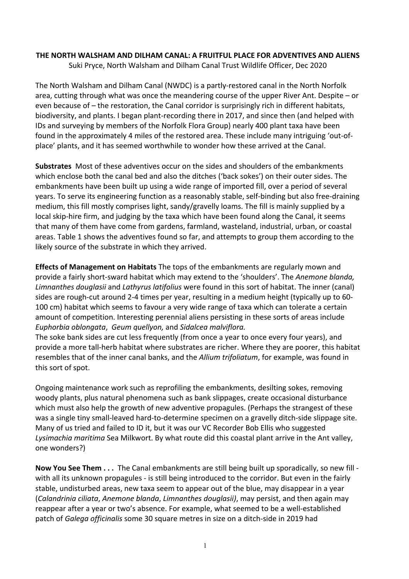## **THE NORTH WALSHAM AND DILHAM CANAL: A FRUITFUL PLACE FOR ADVENTIVES AND ALIENS**

Suki Pryce, North Walsham and Dilham Canal Trust Wildlife Officer, Dec 2020

The North Walsham and Dilham Canal (NWDC) is a partly-restored canal in the North Norfolk area, cutting through what was once the meandering course of the upper River Ant. Despite – or even because of – the restoration, the Canal corridor is surprisingly rich in different habitats, biodiversity, and plants. I began plant-recording there in 2017, and since then (and helped with IDs and surveying by members of the Norfolk Flora Group) nearly 400 plant taxa have been found in the approximately 4 miles of the restored area. These include many intriguing 'out-ofplace' plants, and it has seemed worthwhile to wonder how these arrived at the Canal.

**Substrates** Most of these adventives occur on the sides and shoulders of the embankments which enclose both the canal bed and also the ditches ('back sokes') on their outer sides. The embankments have been built up using a wide range of imported fill, over a period of several years. To serve its engineering function as a reasonably stable, self-binding but also free-draining medium, this fill mostly comprises light, sandy/gravelly loams. The fill is mainly supplied by a local skip-hire firm, and judging by the taxa which have been found along the Canal, it seems that many of them have come from gardens, farmland, wasteland, industrial, urban, or coastal areas. Table 1 shows the adventives found so far, and attempts to group them according to the likely source of the substrate in which they arrived.

**Effects of Management on Habitats** The tops of the embankments are regularly mown and provide a fairly short-sward habitat which may extend to the 'shoulders'. The *Anemone blanda, Limnanthes douglasii* and *Lathyrus latifolius* were found in this sort of habitat. The inner (canal) sides are rough-cut around 2-4 times per year, resulting in a medium height (typically up to 60- 100 cm) habitat which seems to favour a very wide range of taxa which can tolerate a certain amount of competition. Interesting perennial aliens persisting in these sorts of areas include *Euphorbia oblongata*, *Geum quellyon,* and *Sidalcea malviflora.*

The soke bank sides are cut less frequently (from once a year to once every four years), and provide a more tall-herb habitat where substrates are richer. Where they are poorer, this habitat resembles that of the inner canal banks, and the *Allium trifoliatum*, for example, was found in this sort of spot.

Ongoing maintenance work such as reprofiling the embankments, desilting sokes, removing woody plants, plus natural phenomena such as bank slippages, create occasional disturbance which must also help the growth of new adventive propagules. (Perhaps the strangest of these was a single tiny small-leaved hard-to-determine specimen on a gravelly ditch-side slippage site. Many of us tried and failed to ID it, but it was our VC Recorder Bob Ellis who suggested *Lysimachia maritima* Sea Milkwort. By what route did this coastal plant arrive in the Ant valley, one wonders?)

**Now You See Them . . .** The Canal embankments are still being built up sporadically, so new fill with all its unknown propagules - is still being introduced to the corridor. But even in the fairly stable, undisturbed areas, new taxa seem to appear out of the blue, may disappear in a year (*Calandrinia ciliata*, *Anemone blanda*, *Limnanthes douglasii)*, may persist, and then again may reappear after a year or two's absence. For example, what seemed to be a well-established patch of *Galega officinalis* some 30 square metres in size on a ditch-side in 2019 had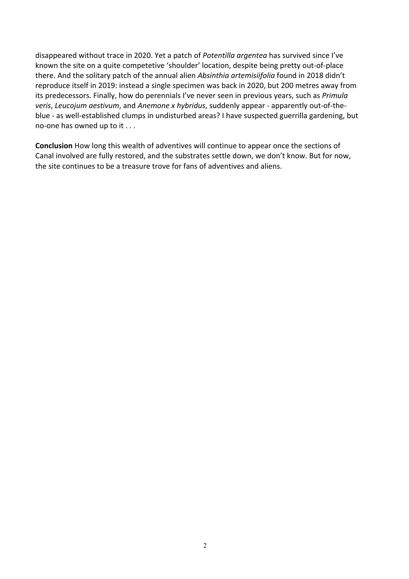disappeared without trace in 2020. Yet a patch of *Potentilla argentea* has survived since I've known the site on a quite competetive 'shoulder' location, despite being pretty out-of-place there. And the solitary patch of the annual alien *Absinthia artemisiifolia* found in 2018 didn't reproduce itself in 2019: instead a single specimen was back in 2020, but 200 metres away from its predecessors. Finally, how do perennials I've never seen in previous years, such as *Primula veris*, *Leucojum aestivum*, and *Anemone x hybridus*, suddenly appear - apparently out-of-theblue - as well-established clumps in undisturbed areas? I have suspected guerrilla gardening, but no-one has owned up to it . . .

**Conclusion** How long this wealth of adventives will continue to appear once the sections of Canal involved are fully restored, and the substrates settle down, we don't know. But for now, the site continues to be a treasure trove for fans of adventives and aliens.